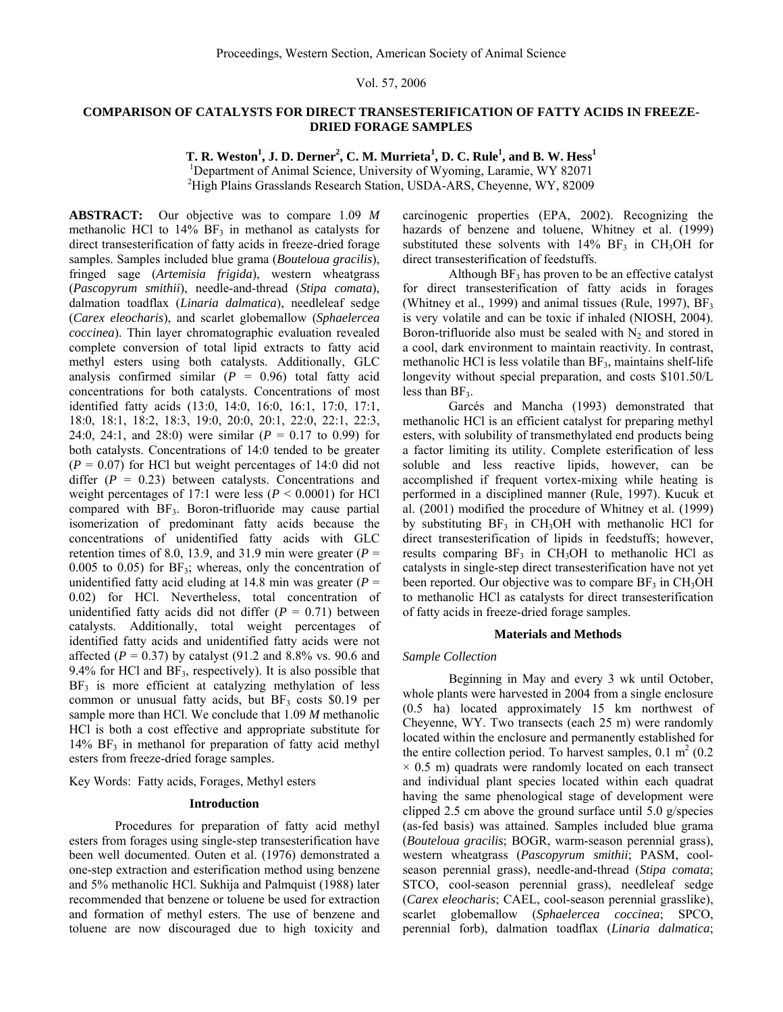## Vol. 57, 2006

# **COMPARISON OF CATALYSTS FOR DIRECT TRANSESTERIFICATION OF FATTY ACIDS IN FREEZE-DRIED FORAGE SAMPLES**

 $\bf{T}$ **. R.** Weston<sup>1</sup>, J. D. Derner<sup>2</sup>, C. M. Murrieta<sup>1</sup>, D. C. Rule<sup>1</sup>, and B. W. Hess<sup>1</sup> <sup>1</sup>Department of Animal Science, University of Wyoming, Laramie, WY 82071

2 High Plains Grasslands Research Station, USDA-ARS, Cheyenne, WY, 82009

**ABSTRACT:** Our objective was to compare 1.09 *M* methanolic HCl to  $14\%$  BF<sub>3</sub> in methanol as catalysts for direct transesterification of fatty acids in freeze-dried forage samples. Samples included blue grama (*Bouteloua gracilis*), fringed sage (*Artemisia frigida*), western wheatgrass (*Pascopyrum smithii*), needle-and-thread (*Stipa comata*), dalmation toadflax (*Linaria dalmatica*), needleleaf sedge (*Carex eleocharis*), and scarlet globemallow (*Sphaelercea coccinea*). Thin layer chromatographic evaluation revealed complete conversion of total lipid extracts to fatty acid methyl esters using both catalysts. Additionally, GLC analysis confirmed similar  $(P = 0.96)$  total fatty acid concentrations for both catalysts. Concentrations of most identified fatty acids (13:0, 14:0, 16:0, 16:1, 17:0, 17:1, 18:0, 18:1, 18:2, 18:3, 19:0, 20:0, 20:1, 22:0, 22:1, 22:3, 24:0, 24:1, and 28:0) were similar (*P* = 0.17 to 0.99) for both catalysts. Concentrations of 14:0 tended to be greater  $(P = 0.07)$  for HCl but weight percentages of 14:0 did not differ  $(P = 0.23)$  between catalysts. Concentrations and weight percentages of 17:1 were less ( $P < 0.0001$ ) for HCl compared with  $BF_3$ . Boron-trifluoride may cause partial isomerization of predominant fatty acids because the concentrations of unidentified fatty acids with GLC retention times of 8.0, 13.9, and 31.9 min were greater  $(P =$ 0.005 to 0.05) for  $BF_3$ ; whereas, only the concentration of unidentified fatty acid eluding at  $14.8$  min was greater ( $P =$ 0.02) for HCl. Nevertheless, total concentration of unidentified fatty acids did not differ  $(P = 0.71)$  between catalysts. Additionally, total weight percentages of identified fatty acids and unidentified fatty acids were not affected ( $P = 0.37$ ) by catalyst (91.2 and 8.8% vs. 90.6 and 9.4% for HCl and  $BF_3$ , respectively). It is also possible that  $BF<sub>3</sub>$  is more efficient at catalyzing methylation of less common or unusual fatty acids, but  $BF<sub>3</sub>$  costs \$0.19 per sample more than HCl. We conclude that 1.09 *M* methanolic HCl is both a cost effective and appropriate substitute for  $14\%$  BF<sub>3</sub> in methanol for preparation of fatty acid methyl esters from freeze-dried forage samples.

Key Words: Fatty acids, Forages, Methyl esters

## **Introduction**

 Procedures for preparation of fatty acid methyl esters from forages using single-step transesterification have been well documented. Outen et al. (1976) demonstrated a one-step extraction and esterification method using benzene and 5% methanolic HCl. Sukhija and Palmquist (1988) later recommended that benzene or toluene be used for extraction and formation of methyl esters. The use of benzene and toluene are now discouraged due to high toxicity and carcinogenic properties (EPA, 2002). Recognizing the hazards of benzene and toluene, Whitney et al. (1999) substituted these solvents with  $14\%$  BF<sub>3</sub> in CH<sub>3</sub>OH for direct transesterification of feedstuffs.

Although  $BF_3$  has proven to be an effective catalyst for direct transesterification of fatty acids in forages (Whitney et al., 1999) and animal tissues (Rule, 1997),  $BF_3$ is very volatile and can be toxic if inhaled (NIOSH, 2004). Boron-trifluoride also must be sealed with  $N_2$  and stored in a cool, dark environment to maintain reactivity. In contrast, methanolic HCl is less volatile than  $BF<sub>3</sub>$ , maintains shelf-life longevity without special preparation, and costs \$101.50/L less than  $BF_3$ .

 Garcés and Mancha (1993) demonstrated that methanolic HCl is an efficient catalyst for preparing methyl esters, with solubility of transmethylated end products being a factor limiting its utility. Complete esterification of less soluble and less reactive lipids, however, can be accomplished if frequent vortex-mixing while heating is performed in a disciplined manner (Rule, 1997). Kucuk et al. (2001) modified the procedure of Whitney et al. (1999) by substituting  $BF_3$  in CH<sub>3</sub>OH with methanolic HCl for direct transesterification of lipids in feedstuffs; however, results comparing  $BF_3$  in CH<sub>3</sub>OH to methanolic HCl as catalysts in single-step direct transesterification have not yet been reported. Our objective was to compare  $BF_3$  in  $CH_3OH$ to methanolic HCl as catalysts for direct transesterification of fatty acids in freeze-dried forage samples.

#### **Materials and Methods**

#### *Sample Collection*

 Beginning in May and every 3 wk until October, whole plants were harvested in 2004 from a single enclosure (0.5 ha) located approximately 15 km northwest of Cheyenne, WY. Two transects (each 25 m) were randomly located within the enclosure and permanently established for the entire collection period. To harvest samples,  $0.1 \text{ m}^2 (0.2)$  $\times$  0.5 m) quadrats were randomly located on each transect and individual plant species located within each quadrat having the same phenological stage of development were clipped 2.5 cm above the ground surface until 5.0 g/species (as-fed basis) was attained. Samples included blue grama (*Bouteloua gracilis*; BOGR, warm-season perennial grass), western wheatgrass (*Pascopyrum smithii*; PASM, coolseason perennial grass), needle-and-thread (*Stipa comata*; STCO, cool-season perennial grass), needleleaf sedge (*Carex eleocharis*; CAEL, cool-season perennial grasslike), scarlet globemallow (*Sphaelercea coccinea*; SPCO, perennial forb), dalmation toadflax (*Linaria dalmatica*;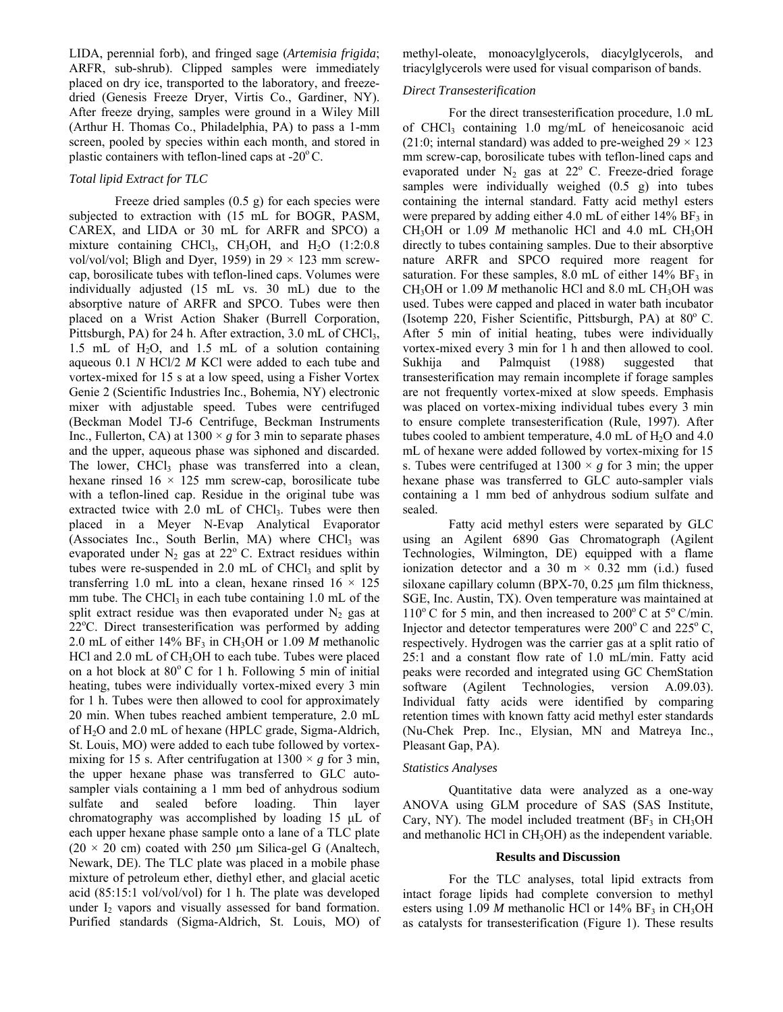LIDA, perennial forb), and fringed sage (*Artemisia frigida*; ARFR, sub-shrub). Clipped samples were immediately placed on dry ice, transported to the laboratory, and freezedried (Genesis Freeze Dryer, Virtis Co., Gardiner, NY). After freeze drying, samples were ground in a Wiley Mill (Arthur H. Thomas Co., Philadelphia, PA) to pass a 1-mm screen, pooled by species within each month, and stored in plastic containers with teflon-lined caps at  $-20^{\circ}$ C.

## *Total lipid Extract for TLC*

 Freeze dried samples (0.5 g) for each species were subjected to extraction with (15 mL for BOGR, PASM, CAREX, and LIDA or 30 mL for ARFR and SPCO) a mixture containing CHCl<sub>3</sub>, CH<sub>3</sub>OH, and H<sub>2</sub>O (1:2:0.8) vol/vol/vol; Bligh and Dyer, 1959) in  $29 \times 123$  mm screwcap, borosilicate tubes with teflon-lined caps. Volumes were individually adjusted (15 mL vs. 30 mL) due to the absorptive nature of ARFR and SPCO. Tubes were then placed on a Wrist Action Shaker (Burrell Corporation, Pittsburgh, PA) for 24 h. After extraction, 3.0 mL of CHCl<sub>3</sub>, 1.5 mL of  $H_2O$ , and 1.5 mL of a solution containing aqueous 0.1 *N* HCl/2 *M* KCl were added to each tube and vortex-mixed for 15 s at a low speed, using a Fisher Vortex Genie 2 (Scientific Industries Inc., Bohemia, NY) electronic mixer with adjustable speed. Tubes were centrifuged (Beckman Model TJ-6 Centrifuge, Beckman Instruments Inc., Fullerton, CA) at  $1300 \times g$  for 3 min to separate phases and the upper, aqueous phase was siphoned and discarded. The lower, CHCl<sub>3</sub> phase was transferred into a clean, hexane rinsed  $16 \times 125$  mm screw-cap, borosilicate tube with a teflon-lined cap. Residue in the original tube was extracted twice with  $2.0$  mL of CHCl<sub>3</sub>. Tubes were then placed in a Meyer N-Evap Analytical Evaporator  $(Associates Inc., South Berlin, MA) where CHCl<sub>3</sub> was$ evaporated under  $N_2$  gas at  $22^{\circ}$  C. Extract residues within tubes were re-suspended in  $2.0$  mL of CHCl<sub>3</sub> and split by transferring 1.0 mL into a clean, hexane rinsed  $16 \times 125$ mm tube. The CHCl<sub>3</sub> in each tube containing  $1.0$  mL of the split extract residue was then evaporated under  $N_2$  gas at 22°C. Direct transesterification was performed by adding 2.0 mL of either  $14\%$  BF<sub>3</sub> in CH<sub>3</sub>OH or 1.09 *M* methanolic HCl and 2.0 mL of CH<sub>3</sub>OH to each tube. Tubes were placed on a hot block at  $80^{\circ}$  C for 1 h. Following 5 min of initial heating, tubes were individually vortex-mixed every 3 min for 1 h. Tubes were then allowed to cool for approximately 20 min. When tubes reached ambient temperature, 2.0 mL of H2O and 2.0 mL of hexane (HPLC grade, Sigma-Aldrich, St. Louis, MO) were added to each tube followed by vortexmixing for 15 s. After centrifugation at  $1300 \times g$  for 3 min, the upper hexane phase was transferred to GLC autosampler vials containing a 1 mm bed of anhydrous sodium sulfate and sealed before loading. Thin layer chromatography was accomplished by loading 15 µL of each upper hexane phase sample onto a lane of a TLC plate  $(20 \times 20 \text{ cm})$  coated with 250  $\mu$ m Silica-gel G (Analtech, Newark, DE). The TLC plate was placed in a mobile phase mixture of petroleum ether, diethyl ether, and glacial acetic acid (85:15:1 vol/vol/vol) for 1 h. The plate was developed under  $I_2$  vapors and visually assessed for band formation. Purified standards (Sigma-Aldrich, St. Louis, MO) of methyl-oleate, monoacylglycerols, diacylglycerols, and triacylglycerols were used for visual comparison of bands.

## *Direct Transesterification*

 For the direct transesterification procedure, 1.0 mL of CHCl<sub>3</sub> containing 1.0 mg/mL of heneicosanoic acid (21:0; internal standard) was added to pre-weighed  $29 \times 123$ mm screw-cap, borosilicate tubes with teflon-lined caps and evaporated under  $N_2$  gas at  $22^{\circ}$  C. Freeze-dried forage samples were individually weighed  $(0.5 \text{ g})$  into tubes containing the internal standard. Fatty acid methyl esters were prepared by adding either 4.0 mL of either  $14\%$  BF<sub>3</sub> in CH<sub>3</sub>OH or 1.09  $M$  methanolic HCl and 4.0 mL CH<sub>3</sub>OH directly to tubes containing samples. Due to their absorptive nature ARFR and SPCO required more reagent for saturation. For these samples, 8.0 mL of either  $14\%$  BF<sub>3</sub> in CH<sub>3</sub>OH or 1.09  $M$  methanolic HCl and 8.0 mL CH<sub>3</sub>OH was used. Tubes were capped and placed in water bath incubator (Isotemp 220, Fisher Scientific, Pittsburgh, PA) at  $80^{\circ}$  C. After 5 min of initial heating, tubes were individually vortex-mixed every 3 min for 1 h and then allowed to cool. Sukhija and Palmquist (1988) suggested that transesterification may remain incomplete if forage samples are not frequently vortex-mixed at slow speeds. Emphasis was placed on vortex-mixing individual tubes every 3 min to ensure complete transesterification (Rule, 1997). After tubes cooled to ambient temperature,  $4.0$  mL of  $H<sub>2</sub>O$  and  $4.0$ mL of hexane were added followed by vortex-mixing for 15 s. Tubes were centrifuged at  $1300 \times g$  for 3 min; the upper hexane phase was transferred to GLC auto-sampler vials containing a 1 mm bed of anhydrous sodium sulfate and sealed.

 Fatty acid methyl esters were separated by GLC using an Agilent 6890 Gas Chromatograph (Agilent Technologies, Wilmington, DE) equipped with a flame ionization detector and a 30 m  $\times$  0.32 mm (i.d.) fused siloxane capillary column (BPX-70, 0.25 µm film thickness, SGE, Inc. Austin, TX). Oven temperature was maintained at  $110^{\circ}$  C for 5 min, and then increased to  $200^{\circ}$  C at  $5^{\circ}$  C/min. Injector and detector temperatures were  $200^{\circ}$  C and  $225^{\circ}$  C, respectively. Hydrogen was the carrier gas at a split ratio of 25:1 and a constant flow rate of 1.0 mL/min. Fatty acid peaks were recorded and integrated using GC ChemStation software (Agilent Technologies, version A.09.03). Individual fatty acids were identified by comparing retention times with known fatty acid methyl ester standards (Nu-Chek Prep. Inc., Elysian, MN and Matreya Inc., Pleasant Gap, PA).

## *Statistics Analyses*

 Quantitative data were analyzed as a one-way ANOVA using GLM procedure of SAS (SAS Institute, Cary, NY). The model included treatment  $(BF_3$  in  $CH_3OH$ and methanolic HCl in  $CH<sub>3</sub>OH$ ) as the independent variable.

## **Results and Discussion**

 For the TLC analyses, total lipid extracts from intact forage lipids had complete conversion to methyl esters using  $1.09$  *M* methanolic HCl or  $14\%$  BF<sub>3</sub> in CH<sub>3</sub>OH as catalysts for transesterification (Figure 1). These results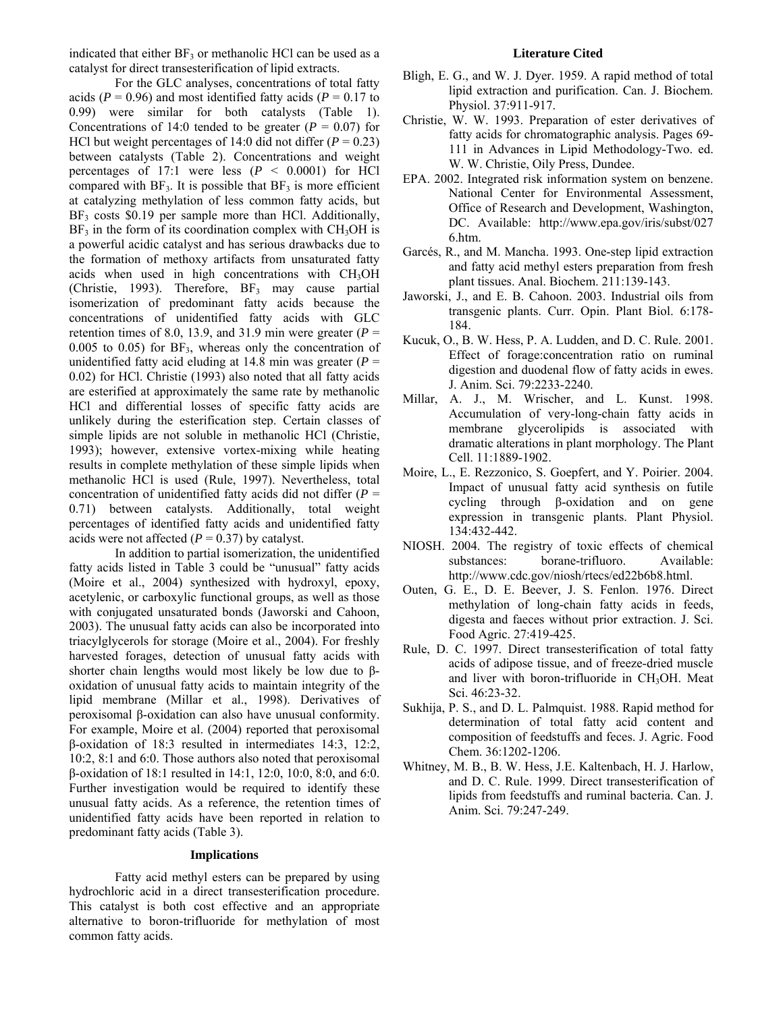indicated that either  $BF_3$  or methanolic HCl can be used as a catalyst for direct transesterification of lipid extracts.

 For the GLC analyses, concentrations of total fatty acids ( $P = 0.96$ ) and most identified fatty acids ( $P = 0.17$  to 0.99) were similar for both catalysts (Table 1). Concentrations of 14:0 tended to be greater ( $P = 0.07$ ) for HCl but weight percentages of 14:0 did not differ  $(P = 0.23)$ between catalysts (Table 2). Concentrations and weight percentages of 17:1 were less  $(P \le 0.0001)$  for HCl compared with  $BF_3$ . It is possible that  $BF_3$  is more efficient at catalyzing methylation of less common fatty acids, but  $BF_3$  costs \$0.19 per sample more than HCl. Additionally,  $BF_3$  in the form of its coordination complex with  $CH_3OH$  is a powerful acidic catalyst and has serious drawbacks due to the formation of methoxy artifacts from unsaturated fatty acids when used in high concentrations with CH3OH (Christie, 1993). Therefore,  $BF_3$  may cause partial isomerization of predominant fatty acids because the concentrations of unidentified fatty acids with GLC retention times of 8.0, 13.9, and 31.9 min were greater  $(P =$ 0.005 to 0.05) for  $BF_3$ , whereas only the concentration of unidentified fatty acid eluding at 14.8 min was greater  $(P =$ 0.02) for HCl. Christie (1993) also noted that all fatty acids are esterified at approximately the same rate by methanolic HCl and differential losses of specific fatty acids are unlikely during the esterification step. Certain classes of simple lipids are not soluble in methanolic HCl (Christie, 1993); however, extensive vortex-mixing while heating results in complete methylation of these simple lipids when methanolic HCl is used (Rule, 1997). Nevertheless, total concentration of unidentified fatty acids did not differ  $(P =$ 0.71) between catalysts. Additionally, total weight percentages of identified fatty acids and unidentified fatty acids were not affected  $(P = 0.37)$  by catalyst.

 In addition to partial isomerization, the unidentified fatty acids listed in Table 3 could be "unusual" fatty acids (Moire et al., 2004) synthesized with hydroxyl, epoxy, acetylenic, or carboxylic functional groups, as well as those with conjugated unsaturated bonds (Jaworski and Cahoon, 2003). The unusual fatty acids can also be incorporated into triacylglycerols for storage (Moire et al., 2004). For freshly harvested forages, detection of unusual fatty acids with shorter chain lengths would most likely be low due to βoxidation of unusual fatty acids to maintain integrity of the lipid membrane (Millar et al., 1998). Derivatives of peroxisomal β-oxidation can also have unusual conformity. For example, Moire et al. (2004) reported that peroxisomal β-oxidation of 18:3 resulted in intermediates 14:3, 12:2, 10:2, 8:1 and 6:0. Those authors also noted that peroxisomal β-oxidation of 18:1 resulted in 14:1, 12:0, 10:0, 8:0, and 6:0. Further investigation would be required to identify these unusual fatty acids. As a reference, the retention times of unidentified fatty acids have been reported in relation to predominant fatty acids (Table 3).

### **Implications**

 Fatty acid methyl esters can be prepared by using hydrochloric acid in a direct transesterification procedure. This catalyst is both cost effective and an appropriate alternative to boron-trifluoride for methylation of most common fatty acids.

## **Literature Cited**

- Bligh, E. G., and W. J. Dyer. 1959. A rapid method of total lipid extraction and purification. Can. J. Biochem. Physiol. 37:911-917.
- Christie, W. W. 1993. Preparation of ester derivatives of fatty acids for chromatographic analysis. Pages 69- 111 in Advances in Lipid Methodology-Two. ed. W. W. Christie, Oily Press, Dundee.
- EPA. 2002. Integrated risk information system on benzene. National Center for Environmental Assessment, Office of Research and Development, Washington, DC. Available: http://www.epa.gov/iris/subst/027 6.htm.
- Garcés, R., and M. Mancha. 1993. One-step lipid extraction and fatty acid methyl esters preparation from fresh plant tissues. Anal. Biochem. 211:139-143.
- Jaworski, J., and E. B. Cahoon. 2003. Industrial oils from transgenic plants. Curr. Opin. Plant Biol. 6:178- 184.
- Kucuk, O., B. W. Hess, P. A. Ludden, and D. C. Rule. 2001. Effect of forage:concentration ratio on ruminal digestion and duodenal flow of fatty acids in ewes. J. Anim. Sci. 79:2233-2240.
- Millar, A. J., M. Wrischer, and L. Kunst. 1998. Accumulation of very-long-chain fatty acids in membrane glycerolipids is associated with dramatic alterations in plant morphology. The Plant Cell. 11:1889-1902.
- Moire, L., E. Rezzonico, S. Goepfert, and Y. Poirier. 2004. Impact of unusual fatty acid synthesis on futile cycling through β-oxidation and on gene expression in transgenic plants. Plant Physiol. 134:432-442.
- NIOSH. 2004. The registry of toxic effects of chemical substances: borane-trifluoro. Available: http://www.cdc.gov/niosh/rtecs/ed22b6b8.html.
- Outen, G. E., D. E. Beever, J. S. Fenlon. 1976. Direct methylation of long-chain fatty acids in feeds, digesta and faeces without prior extraction. J. Sci. Food Agric. 27:419-425.
- Rule, D. C. 1997. Direct transesterification of total fatty acids of adipose tissue, and of freeze-dried muscle and liver with boron-trifluoride in CH<sub>3</sub>OH. Meat Sci. 46:23-32.
- Sukhija, P. S., and D. L. Palmquist. 1988. Rapid method for determination of total fatty acid content and composition of feedstuffs and feces. J. Agric. Food Chem. 36:1202-1206.
- Whitney, M. B., B. W. Hess, J.E. Kaltenbach, H. J. Harlow, and D. C. Rule. 1999. Direct transesterification of lipids from feedstuffs and ruminal bacteria. Can. J. Anim. Sci. 79:247-249.